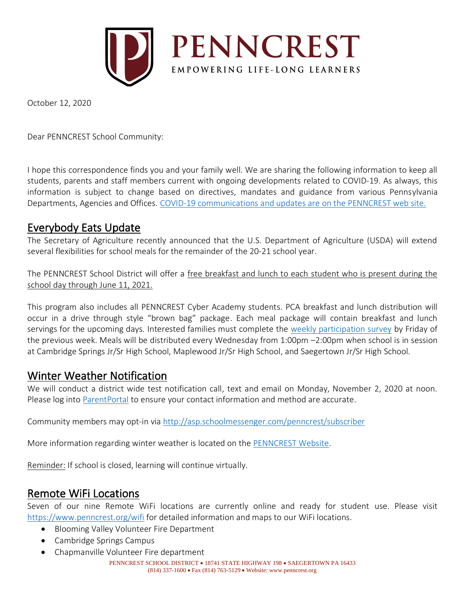

October 12, 2020

Dear PENNCREST School Community:

I hope this correspondence finds you and your family well. We are sharing the following information to keep all students, parents and staff members current with ongoing developments related to COVID-19. As always, this information is subject to change based on directives, mandates and guidance from various Pennsylvania Departments, Agencies and Offices. [COVID-19 communications and updates are on the PENNCREST web site.](https://www.penncrest.org/departments/health-services/coronavirus-resources)

### Everybody Eats Update

The Secretary of Agriculture recently announced that the U.S. Department of Agriculture (USDA) will extend several flexibilities for school meals for the remainder of the 20-21 school year.

The PENNCREST School District will offer a free breakfast and lunch to each student who is present during the school day through June 11, 2021.

This program also includes all PENNCREST Cyber Academy students. PCA breakfast and lunch distribution will occur in a drive through style "brown bag" package. Each meal package will contain breakfast and lunch servings for the upcoming days. Interested families must complete the [weekly participation survey](https://docs.google.com/forms/d/e/1FAIpQLSdQgqnsiHnDw-MtLEuoENhla2vnvIFUQuWpvXzI3xCBO08WXg/viewform?usp=sf_link) by Friday of the previous week. Meals will be distributed every Wednesday from 1:00pm –2:00pm when school is in session at Cambridge Springs Jr/Sr High School, Maplewood Jr/Sr High School, and Saegertown Jr/Sr High School.

## Winter Weather Notification

We will conduct a district wide test notification call, text and email on Monday, November 2, 2020 at noon. Please log int[o ParentPortal](http://classroom.powerschool.com/) to ensure your contact information and method are accurate.

Community members may opt-in via<http://asp.schoolmessenger.com/penncrest/subscriber>

More information regarding winter weather is located on the [PENNCREST Website.](https://www.penncrest.org/departments/transportation/weather-related-delays-and-closings-faq)

Reminder: If school is closed, learning will continue virtually.

### Remote WiFi Locations

Seven of our nine Remote WiFi locations are currently online and ready for student use. Please visit <https://www.penncrest.org/wifi> for detailed information and maps to our WiFi locations.

- Blooming Valley Volunteer Fire Department
- Cambridge Springs Campus
- Chapmanville Volunteer Fire department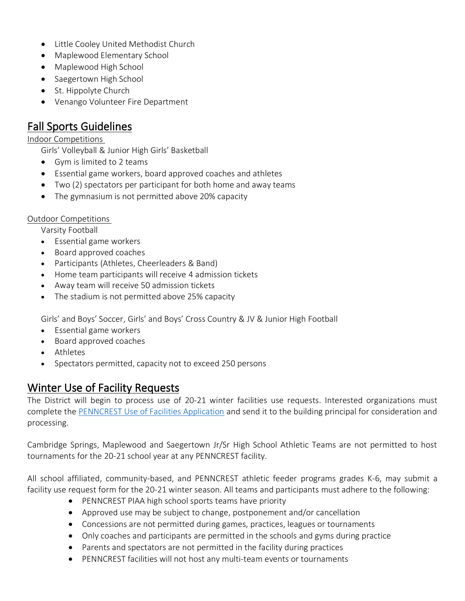- Little Cooley United Methodist Church
- Maplewood Elementary School
- Maplewood High School
- Saegertown High School
- St. Hippolyte Church
- Venango Volunteer Fire Department

### Fall Sports Guidelines

#### Indoor Competitions

Girls' Volleyball & Junior High Girls' Basketball

- Gym is limited to 2 teams
- Essential game workers, board approved coaches and athletes
- Two (2) spectators per participant for both home and away teams
- The gymnasium is not permitted above 20% capacity

#### Outdoor Competitions

Varsity Football

- Essential game workers
- Board approved coaches
- Participants (Athletes, Cheerleaders & Band)
- Home team participants will receive 4 admission tickets
- Away team will receive 50 admission tickets
- The stadium is not permitted above 25% capacity

Girls' and Boys' Soccer, Girls' and Boys' Cross Country & JV & Junior High Football

- Essential game workers
- Board approved coaches
- Athletes
- Spectators permitted, capacity not to exceed 250 persons

## Winter Use of Facility Requests

The District will begin to process use of 20-21 winter facilities use requests. Interested organizations must complete the [PENNCREST Use of Facilities Application](https://go.boarddocs.com/pa/pncr/Board.nsf/files/BDBFSX40957D/$file/FACILITY%20USE%20APPLICATION%20rev6132019.pdf) and send it to the building principal for consideration and processing.

Cambridge Springs, Maplewood and Saegertown Jr/Sr High School Athletic Teams are not permitted to host tournaments for the 20-21 school year at any PENNCREST facility.

All school affiliated, community-based, and PENNCREST athletic feeder programs grades K-6, may submit a facility use request form for the 20-21 winter season. All teams and participants must adhere to the following:

- PENNCREST PIAA high school sports teams have priority
- Approved use may be subject to change, postponement and/or cancellation
- Concessions are not permitted during games, practices, leagues or tournaments
- Only coaches and participants are permitted in the schools and gyms during practice
- Parents and spectators are not permitted in the facility during practices
- PENNCREST facilities will not host any multi-team events or tournaments